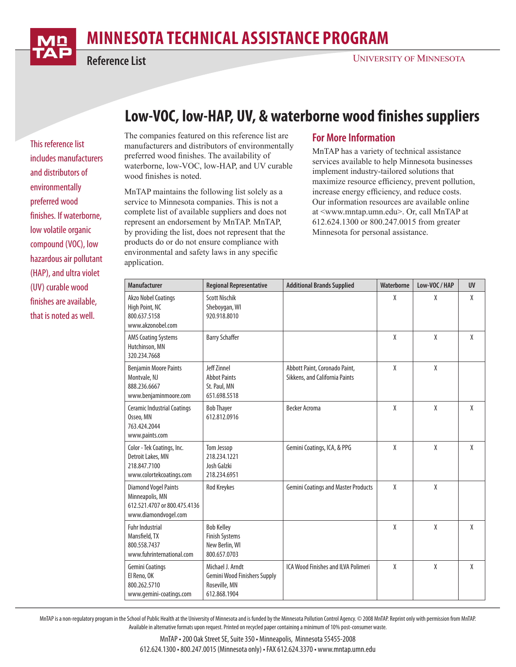

## **minnesota Technical Assistance Program**

**Reference List**

This reference list includes manufacturers and distributors of environmentally preferred wood finishes. If waterborne, low volatile organic compound (VOC), low hazardous air pollutant (HAP), and ultra violet (UV) curable wood finishes are available, that is noted as well.

## **Low-VOC, low-HAP, UV, & waterborne wood finishes suppliers**

The companies featured on this reference list are manufacturers and distributors of environmentally preferred wood finishes. The availability of waterborne, low-VOC, low-HAP, and UV curable wood finishes is noted.

MnTAP maintains the following list solely as a service to Minnesota companies. This is not a complete list of available suppliers and does not represent an endorsement by MnTAP. MnTAP, by providing the list, does not represent that the products do or do not ensure compliance with environmental and safety laws in any specific application.

## **For More Information**

MnTAP has a variety of technical assistance services available to help Minnesota businesses implement industry-tailored solutions that maximize resource efficiency, prevent pollution, increase energy efficiency, and reduce costs. Our information resources are available online at <www.mntap.umn.edu>. Or, call MnTAP at 612.624.1300 or 800.247.0015 from greater Minnesota for personal assistance.

| <b>Manufacturer</b>                                                                                    | <b>Regional Representative</b>                                                           | <b>Additional Brands Supplied</b>                               | Waterborne | Low-VOC / HAP | <b>UV</b> |
|--------------------------------------------------------------------------------------------------------|------------------------------------------------------------------------------------------|-----------------------------------------------------------------|------------|---------------|-----------|
| Akzo Nobel Coatings<br>High Point, NC<br>800.637.5158<br>www.akzonobel.com                             | <b>Scott Nischik</b><br>Sheboygan, WI<br>920.918.8010                                    |                                                                 | χ          | X             | X         |
| <b>AMS Coating Systems</b><br>Hutchinson, MN<br>320.234.7668                                           | <b>Barry Schaffer</b>                                                                    |                                                                 | χ          | X             | X         |
| <b>Benjamin Moore Paints</b><br>Montvale, NJ<br>888.236.6667<br>www.benjaminmoore.com                  | Jeff Zinnel<br><b>Abbot Paints</b><br>St. Paul, MN<br>651.698.5518                       | Abbott Paint, Coronado Paint,<br>Sikkens, and California Paints | X          | $\chi$        |           |
| <b>Ceramic Industrial Coatings</b><br>Osseo, MN<br>763.424.2044<br>www.paints.com                      | <b>Bob Thayer</b><br>612.812.0916                                                        | <b>Becker Acroma</b>                                            | X          | $\chi$        | X         |
| Color - Tek Coatings, Inc.<br>Detroit Lakes, MN<br>218.847.7100<br>www.colortekcoatings.com            | Tom Jessop<br>218.234.1221<br>Josh Galzki<br>218.234.6951                                | Gemini Coatings, ICA, & PPG                                     | χ          | X             | X         |
| <b>Diamond Vogel Paints</b><br>Minneapolis, MN<br>612.521.4707 or 800.475.4136<br>www.diamondvogel.com | Rod Kreykes                                                                              | <b>Gemini Coatings and Master Products</b>                      | X          | X             |           |
| <b>Fuhr Industrial</b><br>Mansfield, TX<br>800.558.7437<br>www.fuhrinternational.com                   | <b>Bob Kelley</b><br><b>Finish Systems</b><br>New Berlin, WI<br>800.657.0703             |                                                                 | X          | $\chi$        | X         |
| <b>Gemini Coatings</b><br>El Reno, OK<br>800.262.5710<br>www.gemini-coatings.com                       | Michael J. Arndt<br><b>Gemini Wood Finishers Supply</b><br>Roseville, MN<br>612.868.1904 | ICA Wood Finishes and ILVA Polimeri                             | $\chi$     | $\chi$        | X         |

MnTAP is a non-regulatory program in the School of Public Health at the University of Minnesota and is funded by the Minnesota Pollution Control Agency. © 2008 MnTAP. Reprint only with permission from MnTAP. Available in alternative formats upon request. Printed on recycled paper containing a minimum of 10% post-consumer waste.